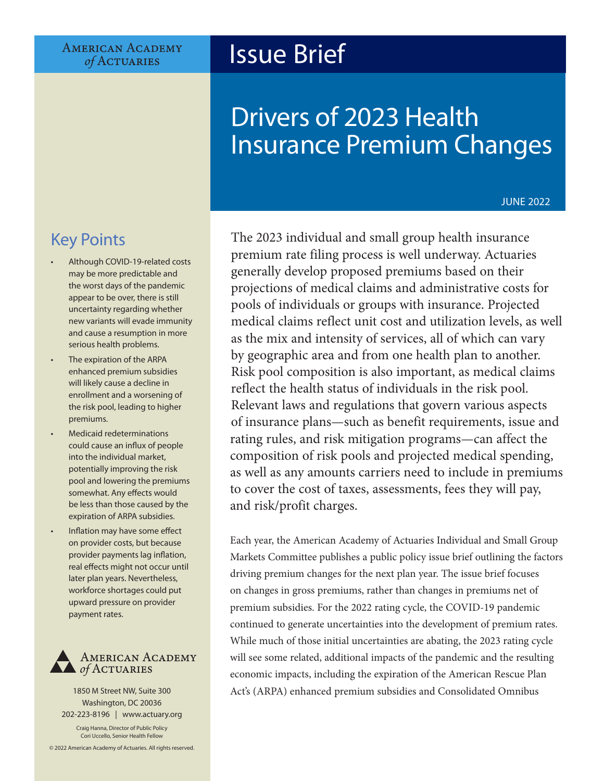**AMERICAN ACADEMY** of ACTUARIES

# Issue Brief

# Drivers of 2023 Health Insurance Premium Changes

#### JUNE 2022

# Key Points

- Although COVID-19-related costs may be more predictable and the worst days of the pandemic appear to be over, there is still uncertainty regarding whether new variants will evade immunity and cause a resumption in more serious health problems.
- The expiration of the ARPA enhanced premium subsidies will likely cause a decline in enrollment and a worsening of the risk pool, leading to higher premiums.
- Medicaid redeterminations could cause an influx of people into the individual market, potentially improving the risk pool and lowering the premiums somewhat. Any effects would be less than those caused by the expiration of ARPA subsidies.
- Inflation may have some effect on provider costs, but because provider payments lag inflation, real effects might not occur until later plan years. Nevertheless, workforce shortages could put upward pressure on provider payment rates.



1850 M Street NW, Suite 300 Washington, DC 20036 202-223-8196 | [www.actuary.org](http://actuary.org) Craig Hanna, Director of Public Policy Cori Uccello, Senior Health Fellow © 2022 American Academy of Actuaries. All rights reserved.

The 2023 individual and small group health insurance premium rate filing process is well underway. Actuaries generally develop proposed premiums based on their projections of medical claims and administrative costs for pools of individuals or groups with insurance. Projected medical claims reflect unit cost and utilization levels, as well as the mix and intensity of services, all of which can vary by geographic area and from one health plan to another. Risk pool composition is also important, as medical claims reflect the health status of individuals in the risk pool. Relevant laws and regulations that govern various aspects of insurance plans—such as benefit requirements, issue and rating rules, and risk mitigation programs—can affect the composition of risk pools and projected medical spending, as well as any amounts carriers need to include in premiums to cover the cost of taxes, assessments, fees they will pay, and risk/profit charges.

Each year, the American Academy of Actuaries Individual and Small Group Markets Committee publishes a public policy issue brief outlining the factors driving premium changes for the next plan year. The issue brief focuses on changes in gross premiums, rather than changes in premiums net of premium subsidies. For the 2022 rating cycle, the COVID-19 pandemic continued to generate uncertainties into the development of premium rates. While much of those initial uncertainties are abating, the 2023 rating cycle will see some related, additional impacts of the pandemic and the resulting economic impacts, including the expiration of the American Rescue Plan Act's (ARPA) enhanced premium subsidies and Consolidated Omnibus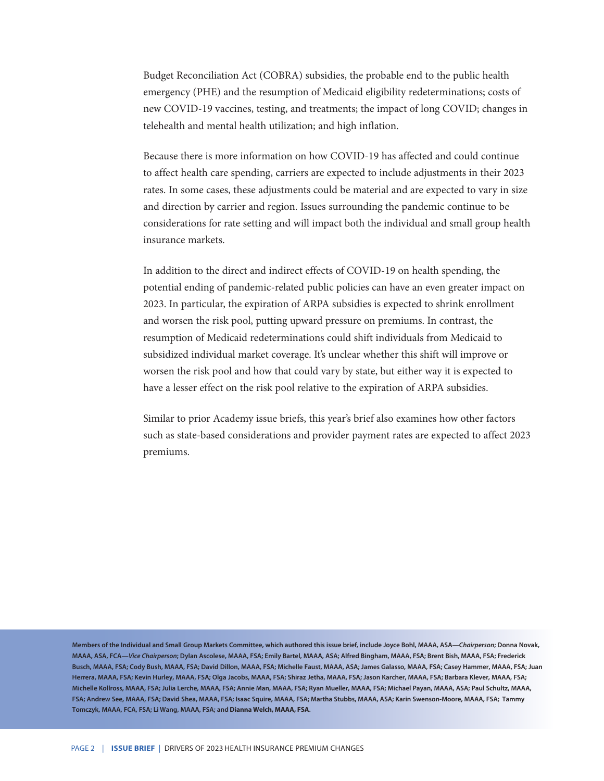Budget Reconciliation Act (COBRA) subsidies, the probable end to the public health emergency (PHE) and the resumption of Medicaid eligibility redeterminations; costs of new COVID-19 vaccines, testing, and treatments; the impact of long COVID; changes in telehealth and mental health utilization; and high inflation.

Because there is more information on how COVID-19 has affected and could continue to affect health care spending, carriers are expected to include adjustments in their 2023 rates. In some cases, these adjustments could be material and are expected to vary in size and direction by carrier and region. Issues surrounding the pandemic continue to be considerations for rate setting and will impact both the individual and small group health insurance markets.

In addition to the direct and indirect effects of COVID-19 on health spending, the potential ending of pandemic-related public policies can have an even greater impact on 2023. In particular, the expiration of ARPA subsidies is expected to shrink enrollment and worsen the risk pool, putting upward pressure on premiums. In contrast, the resumption of Medicaid redeterminations could shift individuals from Medicaid to subsidized individual market coverage. It's unclear whether this shift will improve or worsen the risk pool and how that could vary by state, but either way it is expected to have a lesser effect on the risk pool relative to the expiration of ARPA subsidies.

Similar to prior Academy issue briefs, this year's brief also examines how other factors such as state-based considerations and provider payment rates are expected to affect 2023 premiums.

**Members of the Individual and Small Group Markets Committee, which authored this issue brief, include Joyce Bohl, MAAA, ASA—***Chairperson***; Donna Novak, MAAA, ASA, FCA—***Vice Chairperson***; Dylan Ascolese, MAAA, FSA; Emily Bartel, MAAA, ASA; Alfred Bingham, MAAA, FSA; Brent Bish, MAAA, FSA; Frederick Busch, MAAA, FSA; Cody Bush, MAAA, FSA; David Dillon, MAAA, FSA; Michelle Faust, MAAA, ASA; James Galasso, MAAA, FSA; Casey Hammer, MAAA, FSA; Juan Herrera, MAAA, FSA; Kevin Hurley, MAAA, FSA; Olga Jacobs, MAAA, FSA; Shiraz Jetha, MAAA, FSA; Jason Karcher, MAAA, FSA; Barbara Klever, MAAA, FSA; Michelle Kollross, MAAA, FSA; Julia Lerche, MAAA, FSA; Annie Man, MAAA, FSA; Ryan Mueller, MAAA, FSA; Michael Payan, MAAA, ASA; Paul Schultz, MAAA, FSA; Andrew See, MAAA, FSA; David Shea, MAAA, FSA; Isaac Squire, MAAA, FSA; Martha Stubbs, MAAA, ASA; Karin Swenson-Moore, MAAA, FSA; Tammy Tomczyk, MAAA, FCA, FSA; Li Wang, MAAA, FSA; and Dianna Welch, MAAA, FSA.**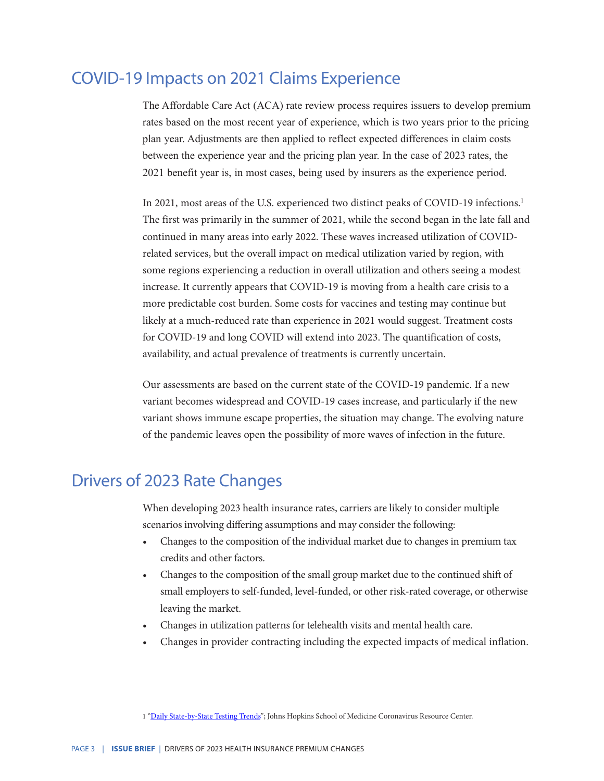### COVID-19 Impacts on 2021 Claims Experience

The Affordable Care Act (ACA) rate review process requires issuers to develop premium rates based on the most recent year of experience, which is two years prior to the pricing plan year. Adjustments are then applied to reflect expected differences in claim costs between the experience year and the pricing plan year. In the case of 2023 rates, the 2021 benefit year is, in most cases, being used by insurers as the experience period.

In 2021, most areas of the U.S. experienced two distinct peaks of COVID-19 infections.<sup>1</sup> The first was primarily in the summer of 2021, while the second began in the late fall and continued in many areas into early 2022. These waves increased utilization of COVIDrelated services, but the overall impact on medical utilization varied by region, with some regions experiencing a reduction in overall utilization and others seeing a modest increase. It currently appears that COVID-19 is moving from a health care crisis to a more predictable cost burden. Some costs for vaccines and testing may continue but likely at a much-reduced rate than experience in 2021 would suggest. Treatment costs for COVID-19 and long COVID will extend into 2023. The quantification of costs, availability, and actual prevalence of treatments is currently uncertain.

Our assessments are based on the current state of the COVID-19 pandemic. If a new variant becomes widespread and COVID-19 cases increase, and particularly if the new variant shows immune escape properties, the situation may change. The evolving nature of the pandemic leaves open the possibility of more waves of infection in the future.

## Drivers of 2023 Rate Changes

When developing 2023 health insurance rates, carriers are likely to consider multiple scenarios involving differing assumptions and may consider the following:

- Changes to the composition of the individual market due to changes in premium tax credits and other factors.
- Changes to the composition of the small group market due to the continued shift of small employers to self-funded, level-funded, or other risk-rated coverage, or otherwise leaving the market.
- Changes in utilization patterns for telehealth visits and mental health care.
- Changes in provider contracting including the expected impacts of medical inflation.

<sup>1 &</sup>quot;[Daily State-by-State Testing Trends](https://coronavirus.jhu.edu/testing/individual-states)"; Johns Hopkins School of Medicine Coronavirus Resource Center.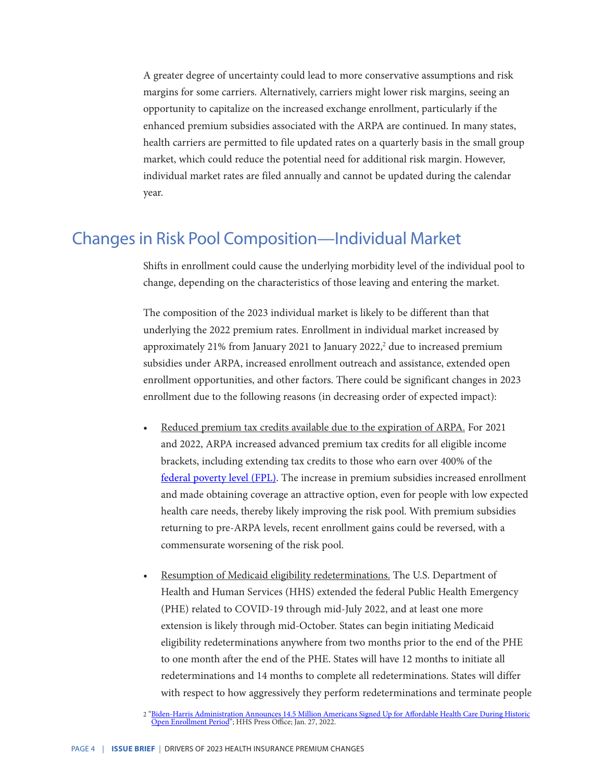A greater degree of uncertainty could lead to more conservative assumptions and risk margins for some carriers. Alternatively, carriers might lower risk margins, seeing an opportunity to capitalize on the increased exchange enrollment, particularly if the enhanced premium subsidies associated with the ARPA are continued. In many states, health carriers are permitted to file updated rates on a quarterly basis in the small group market, which could reduce the potential need for additional risk margin. However, individual market rates are filed annually and cannot be updated during the calendar year.

#### Changes in Risk Pool Composition—Individual Market

Shifts in enrollment could cause the underlying morbidity level of the individual pool to change, depending on the characteristics of those leaving and entering the market.

The composition of the 2023 individual market is likely to be different than that underlying the 2022 premium rates. Enrollment in individual market increased by approximately 21% from January 2021 to January 2022, $2$  due to increased premium subsidies under ARPA, increased enrollment outreach and assistance, extended open enrollment opportunities, and other factors. There could be significant changes in 2023 enrollment due to the following reasons (in decreasing order of expected impact):

- Reduced premium tax credits available due to the expiration of ARPA. For 2021 and 2022, ARPA increased advanced premium tax credits for all eligible income brackets, including extending tax credits to those who earn over 400% of the [federal poverty level \(FPL\)](https://aspe.hhs.gov/topics/poverty-economic-mobility/poverty-guidelines). The increase in premium subsidies increased enrollment and made obtaining coverage an attractive option, even for people with low expected health care needs, thereby likely improving the risk pool. With premium subsidies returning to pre-ARPA levels, recent enrollment gains could be reversed, with a commensurate worsening of the risk pool.
- Resumption of Medicaid eligibility redeterminations. The U.S. Department of Health and Human Services (HHS) extended the federal Public Health Emergency (PHE) related to COVID-19 through mid-July 2022, and at least one more extension is likely through mid-October. States can begin initiating Medicaid eligibility redeterminations anywhere from two months prior to the end of the PHE to one month after the end of the PHE. States will have 12 months to initiate all redeterminations and 14 months to complete all redeterminations. States will differ with respect to how aggressively they perform redeterminations and terminate people

<sup>2</sup> ["Biden-Harris Administration Announces 14.5 Million Americans Signed Up for Affordable Health Care During Historic](https://www.hhs.gov/about/news/2022/01/27/biden-harris-administration-announces-14-5-million-americans-signed-affordable-health-care-during-historic-open-enrollment-period.html) [Open Enrollment Period"](https://www.hhs.gov/about/news/2022/01/27/biden-harris-administration-announces-14-5-million-americans-signed-affordable-health-care-during-historic-open-enrollment-period.html); HHS Press Office; Jan. 27, 2022.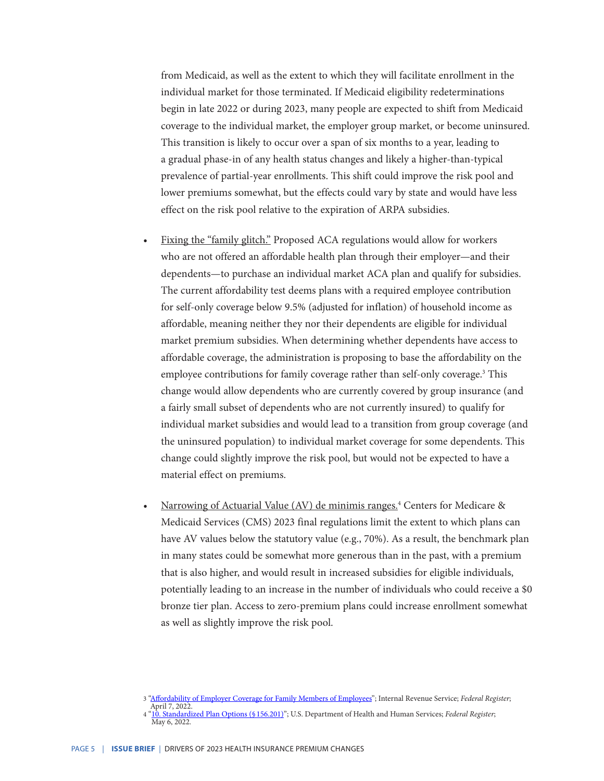from Medicaid, as well as the extent to which they will facilitate enrollment in the individual market for those terminated. If Medicaid eligibility redeterminations begin in late 2022 or during 2023, many people are expected to shift from Medicaid coverage to the individual market, the employer group market, or become uninsured. This transition is likely to occur over a span of six months to a year, leading to a gradual phase-in of any health status changes and likely a higher-than-typical prevalence of partial-year enrollments. This shift could improve the risk pool and lower premiums somewhat, but the effects could vary by state and would have less effect on the risk pool relative to the expiration of ARPA subsidies.

- Fixing the "family glitch." Proposed ACA regulations would allow for workers who are not offered an affordable health plan through their employer—and their dependents—to purchase an individual market ACA plan and qualify for subsidies. The current affordability test deems plans with a required employee contribution for self-only coverage below 9.5% (adjusted for inflation) of household income as affordable, meaning neither they nor their dependents are eligible for individual market premium subsidies. When determining whether dependents have access to affordable coverage, the administration is proposing to base the affordability on the employee contributions for family coverage rather than self-only coverage.<sup>3</sup> This change would allow dependents who are currently covered by group insurance (and a fairly small subset of dependents who are not currently insured) to qualify for individual market subsidies and would lead to a transition from group coverage (and the uninsured population) to individual market coverage for some dependents. This change could slightly improve the risk pool, but would not be expected to have a material effect on premiums.
- Narrowing of Actuarial Value (AV) de minimis ranges.<sup>4</sup> Centers for Medicare & Medicaid Services (CMS) 2023 final regulations limit the extent to which plans can have AV values below the statutory value (e.g., 70%). As a result, the benchmark plan in many states could be somewhat more generous than in the past, with a premium that is also higher, and would result in increased subsidies for eligible individuals, potentially leading to an increase in the number of individuals who could receive a \$0 bronze tier plan. Access to zero-premium plans could increase enrollment somewhat as well as slightly improve the risk pool.

<sup>3</sup> ["Affordability of Employer Coverage for Family Members of Employees"](https://public-inspection.federalregister.gov/2022-07158.pdf); Internal Revenue Service; *Federal Register*; April 7, 2022.

<sup>4 &</sup>quot;10. Standardized Plan Options (§ 156.201)"; U.S. Department of Health and Human Services; *Federal Register*; May 6, 2022*.*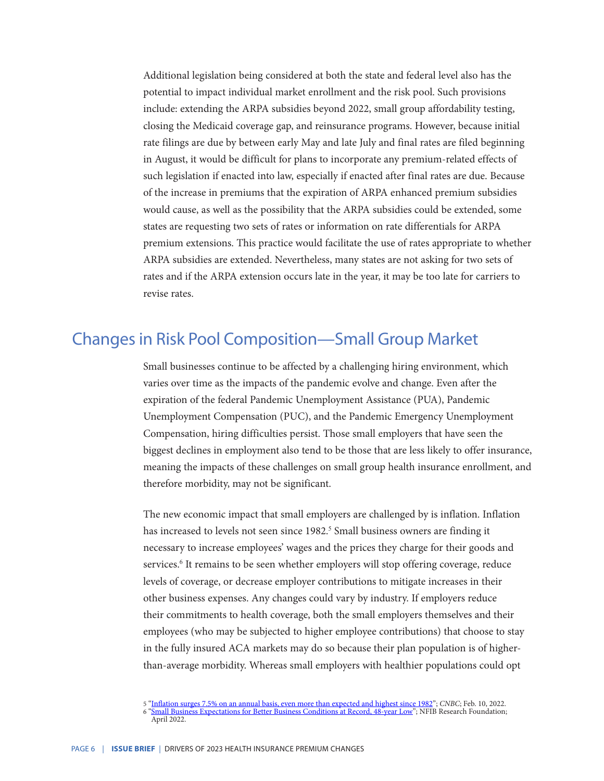Additional legislation being considered at both the state and federal level also has the potential to impact individual market enrollment and the risk pool. Such provisions include: extending the ARPA subsidies beyond 2022, small group affordability testing, closing the Medicaid coverage gap, and reinsurance programs. However, because initial rate filings are due by between early May and late July and final rates are filed beginning in August, it would be difficult for plans to incorporate any premium-related effects of such legislation if enacted into law, especially if enacted after final rates are due. Because of the increase in premiums that the expiration of ARPA enhanced premium subsidies would cause, as well as the possibility that the ARPA subsidies could be extended, some states are requesting two sets of rates or information on rate differentials for ARPA premium extensions. This practice would facilitate the use of rates appropriate to whether ARPA subsidies are extended. Nevertheless, many states are not asking for two sets of rates and if the ARPA extension occurs late in the year, it may be too late for carriers to revise rates.

### Changes in Risk Pool Composition—Small Group Market

Small businesses continue to be affected by a challenging hiring environment, which varies over time as the impacts of the pandemic evolve and change. Even after the expiration of the federal Pandemic Unemployment Assistance (PUA), Pandemic Unemployment Compensation (PUC), and the Pandemic Emergency Unemployment Compensation, hiring difficulties persist. Those small employers that have seen the biggest declines in employment also tend to be those that are less likely to offer insurance, meaning the impacts of these challenges on small group health insurance enrollment, and therefore morbidity, may not be significant.

The new economic impact that small employers are challenged by is inflation. Inflation has increased to levels not seen since 1982.<sup>5</sup> Small business owners are finding it necessary to increase employees' wages and the prices they charge for their goods and services.<sup>6</sup> It remains to be seen whether employers will stop offering coverage, reduce levels of coverage, or decrease employer contributions to mitigate increases in their other business expenses. Any changes could vary by industry. If employers reduce their commitments to health coverage, both the small employers themselves and their employees (who may be subjected to higher employee contributions) that choose to stay in the fully insured ACA markets may do so because their plan population is of higherthan-average morbidity. Whereas small employers with healthier populations could opt

<sup>5</sup> ["Inflation surges 7.5% on an annual basis, even more than expected and highest since 1982"](https://www.cnbc.com/2022/02/10/january-2022-cpi-inflation-rises-7point5percent-over-the-past-year-even-more-than-expected.html); *CNBC*; Feb. 10, 2022. 6 ["Small Business Expectations for Better Business Conditions at Record, 48-year Low](https://www.nfib.com/surveys/small-business-economic-trends/)"; NFIB Research Foundation;

April 2022.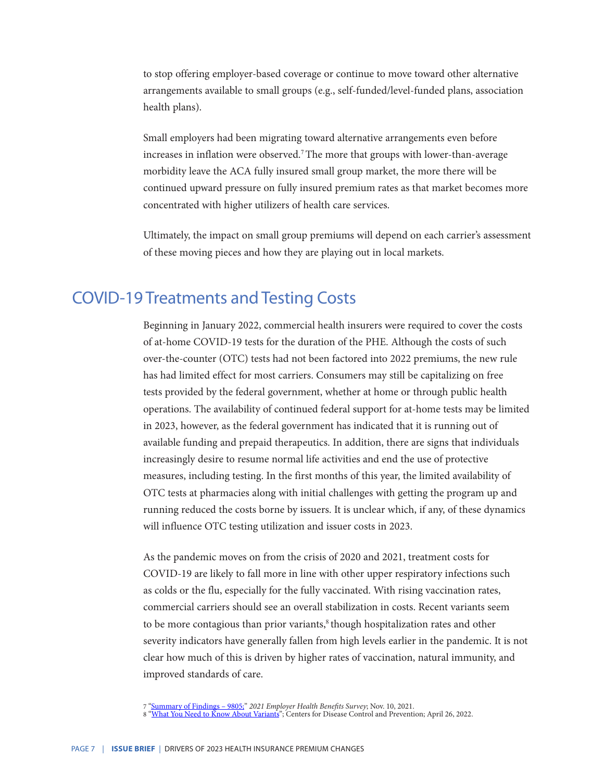to stop offering employer-based coverage or continue to move toward other alternative arrangements available to small groups (e.g., self-funded/level-funded plans, association health plans).

Small employers had been migrating toward alternative arrangements even before increases in inflation were observed.<sup>7</sup>The more that groups with lower-than-average morbidity leave the ACA fully insured small group market, the more there will be continued upward pressure on fully insured premium rates as that market becomes more concentrated with higher utilizers of health care services.

Ultimately, the impact on small group premiums will depend on each carrier's assessment of these moving pieces and how they are playing out in local markets.

### COVID-19 Treatments and Testing Costs

Beginning in January 2022, commercial health insurers were required to cover the costs of at-home COVID-19 tests for the duration of the PHE. Although the costs of such over-the-counter (OTC) tests had not been factored into 2022 premiums, the new rule has had limited effect for most carriers. Consumers may still be capitalizing on free tests provided by the federal government, whether at home or through public health operations. The availability of continued federal support for at-home tests may be limited in 2023, however, as the federal government has indicated that it is running out of available funding and prepaid therapeutics. In addition, there are signs that individuals increasingly desire to resume normal life activities and end the use of protective measures, including testing. In the first months of this year, the limited availability of OTC tests at pharmacies along with initial challenges with getting the program up and running reduced the costs borne by issuers. It is unclear which, if any, of these dynamics will influence OTC testing utilization and issuer costs in 2023.

As the pandemic moves on from the crisis of 2020 and 2021, treatment costs for COVID-19 are likely to fall more in line with other upper respiratory infections such as colds or the flu, especially for the fully vaccinated. With rising vaccination rates, commercial carriers should see an overall stabilization in costs. Recent variants seem to be more contagious than prior variants, $\delta$  though hospitalization rates and other severity indicators have generally fallen from high levels earlier in the pandemic. It is not clear how much of this is driven by higher rates of vaccination, natural immunity, and improved standards of care.

<sup>7</sup> ["Summary of Findings – 9805;](https://www.kff.org/report-section/ehbs-2021-summary-of-findings/)" *2021 Employer Health Benefits Survey*; Nov. 10, 2021.

<sup>8 &</sup>lt;u>["What You Need to Know About Variants](https://www.cdc.gov/coronavirus/2019-ncov/variants/about-variants.html?CDC_AA_refVal=https%3A%2F%2Fwww.cdc.gov%2Fcoronavirus%2F2019-ncov%2Fvariants%2Fvariant.html)</u>"; Centers for Disease Control and Prevention; April 26, 2022.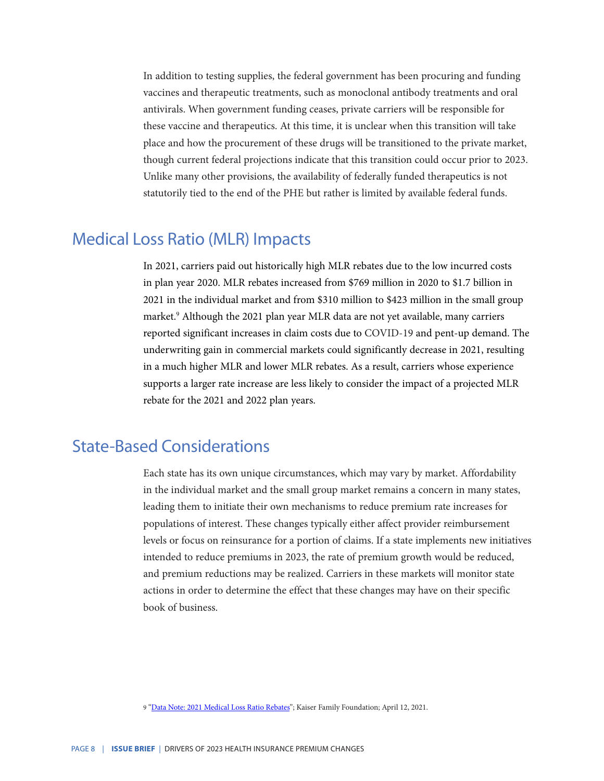In addition to testing supplies, the federal government has been procuring and funding vaccines and therapeutic treatments, such as monoclonal antibody treatments and oral antivirals. When government funding ceases, private carriers will be responsible for these vaccine and therapeutics. At this time, it is unclear when this transition will take place and how the procurement of these drugs will be transitioned to the private market, though current federal projections indicate that this transition could occur prior to 2023. Unlike many other provisions, the availability of federally funded therapeutics is not statutorily tied to the end of the PHE but rather is limited by available federal funds.

### Medical Loss Ratio (MLR) Impacts

In 2021, carriers paid out historically high MLR rebates due to the low incurred costs in plan year 2020. MLR rebates increased from \$769 million in 2020 to \$1.7 billion in 2021 in the individual market and from \$310 million to \$423 million in the small group market.<sup>9</sup> Although the 2021 plan year MLR data are not yet available, many carriers reported significant increases in claim costs due to COVID-19 and pent-up demand. The underwriting gain in commercial markets could significantly decrease in 2021, resulting in a much higher MLR and lower MLR rebates. As a result, carriers whose experience supports a larger rate increase are less likely to consider the impact of a projected MLR rebate for the 2021 and 2022 plan years.

# State-Based Considerations

Each state has its own unique circumstances, which may vary by market. Affordability in the individual market and the small group market remains a concern in many states, leading them to initiate their own mechanisms to reduce premium rate increases for populations of interest. These changes typically either affect provider reimbursement levels or focus on reinsurance for a portion of claims. If a state implements new initiatives intended to reduce premiums in 2023, the rate of premium growth would be reduced, and premium reductions may be realized. Carriers in these markets will monitor state actions in order to determine the effect that these changes may have on their specific book of business.

9 ["Data Note: 2021 Medical Loss Ratio Rebates"](https://www.kff.org/private-insurance/issue-brief/data-note-2021-medical-loss-ratio-rebates/); Kaiser Family Foundation; April 12, 2021.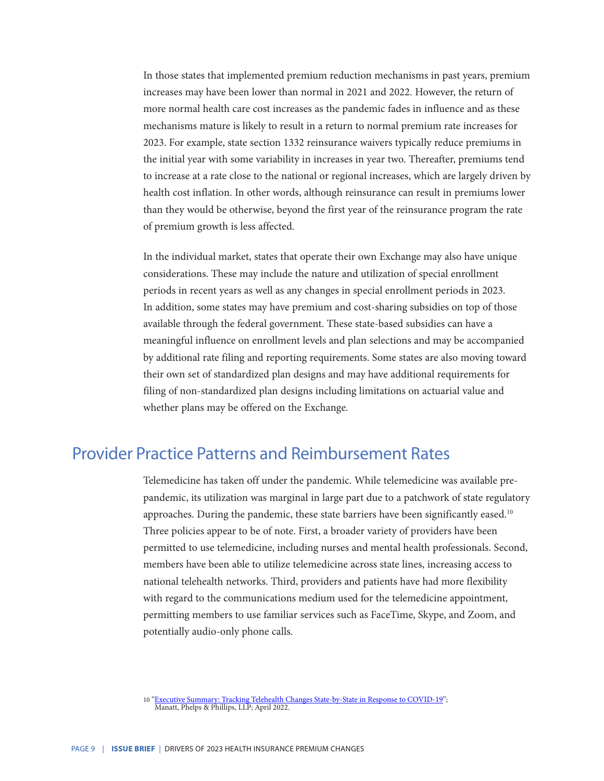In those states that implemented premium reduction mechanisms in past years, premium increases may have been lower than normal in 2021 and 2022. However, the return of more normal health care cost increases as the pandemic fades in influence and as these mechanisms mature is likely to result in a return to normal premium rate increases for 2023. For example, state section 1332 reinsurance waivers typically reduce premiums in the initial year with some variability in increases in year two. Thereafter, premiums tend to increase at a rate close to the national or regional increases, which are largely driven by health cost inflation. In other words, although reinsurance can result in premiums lower than they would be otherwise, beyond the first year of the reinsurance program the rate of premium growth is less affected.

In the individual market, states that operate their own Exchange may also have unique considerations. These may include the nature and utilization of special enrollment periods in recent years as well as any changes in special enrollment periods in 2023. In addition, some states may have premium and cost-sharing subsidies on top of those available through the federal government. These state-based subsidies can have a meaningful influence on enrollment levels and plan selections and may be accompanied by additional rate filing and reporting requirements. Some states are also moving toward their own set of standardized plan designs and may have additional requirements for filing of non-standardized plan designs including limitations on actuarial value and whether plans may be offered on the Exchange.

#### Provider Practice Patterns and Reimbursement Rates

Telemedicine has taken off under the pandemic. While telemedicine was available prepandemic, its utilization was marginal in large part due to a patchwork of state regulatory approaches. During the pandemic, these state barriers have been significantly eased.<sup>10</sup> Three policies appear to be of note. First, a broader variety of providers have been permitted to use telemedicine, including nurses and mental health professionals. Second, members have been able to utilize telemedicine across state lines, increasing access to national telehealth networks. Third, providers and patients have had more flexibility with regard to the communications medium used for the telemedicine appointment, permitting members to use familiar services such as FaceTime, Skype, and Zoom, and potentially audio-only phone calls.

<sup>10 &</sup>quot;[Executive Summary: Tracking Telehealth Changes State-by-State in Response to COVID-19](https://www.jdsupra.com/legalnews/executive-summary-tracking-telehealth-6557454/)"; Manatt, Phelps & Phillips, LLP; April 2022.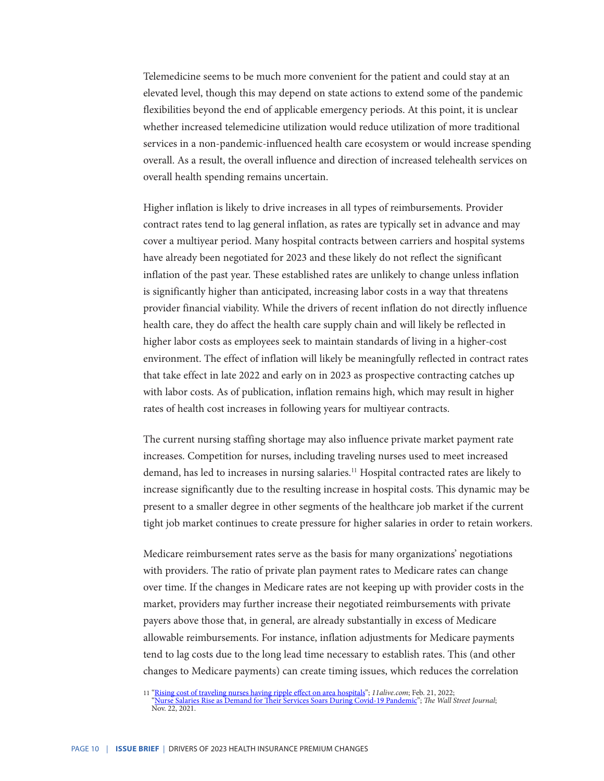Telemedicine seems to be much more convenient for the patient and could stay at an elevated level, though this may depend on state actions to extend some of the pandemic flexibilities beyond the end of applicable emergency periods. At this point, it is unclear whether increased telemedicine utilization would reduce utilization of more traditional services in a non-pandemic-influenced health care ecosystem or would increase spending overall. As a result, the overall influence and direction of increased telehealth services on overall health spending remains uncertain.

Higher inflation is likely to drive increases in all types of reimbursements. Provider contract rates tend to lag general inflation, as rates are typically set in advance and may cover a multiyear period. Many hospital contracts between carriers and hospital systems have already been negotiated for 2023 and these likely do not reflect the significant inflation of the past year. These established rates are unlikely to change unless inflation is significantly higher than anticipated, increasing labor costs in a way that threatens provider financial viability. While the drivers of recent inflation do not directly influence health care, they do affect the health care supply chain and will likely be reflected in higher labor costs as employees seek to maintain standards of living in a higher-cost environment. The effect of inflation will likely be meaningfully reflected in contract rates that take effect in late 2022 and early on in 2023 as prospective contracting catches up with labor costs. As of publication, inflation remains high, which may result in higher rates of health cost increases in following years for multiyear contracts.

The current nursing staffing shortage may also influence private market payment rate increases. Competition for nurses, including traveling nurses used to meet increased demand, has led to increases in nursing salaries.<sup>11</sup> Hospital contracted rates are likely to increase significantly due to the resulting increase in hospital costs. This dynamic may be present to a smaller degree in other segments of the healthcare job market if the current tight job market continues to create pressure for higher salaries in order to retain workers.

Medicare reimbursement rates serve as the basis for many organizations' negotiations with providers. The ratio of private plan payment rates to Medicare rates can change over time. If the changes in Medicare rates are not keeping up with provider costs in the market, providers may further increase their negotiated reimbursements with private payers above those that, in general, are already substantially in excess of Medicare allowable reimbursements. For instance, inflation adjustments for Medicare payments tend to lag costs due to the long lead time necessary to establish rates. This (and other changes to Medicare payments) can create timing issues, which reduces the correlation

<sup>11</sup> "[Rising cost of traveling nurses having ripple effect on area hospitals](https://www.11alive.com/article/news/health/coronavirus/travel-nurses-hospitals-rising-costs/85-1fcdbc1a-0050-4e17-ba40-c4293a0ef84c)"; *11alive.com*; Feb. 21, 2022; "[Nurse Salaries Rise as Demand for Their Services Soars During Covid-19 Pandemic"](https://www.wsj.com/articles/nurse-salaries-rise-as-demand-for-their-services-soars-during-covid-19-pandemic-11637145000?mod=article_inline); *The Wall Street Journal*; Nov. 22, 2021.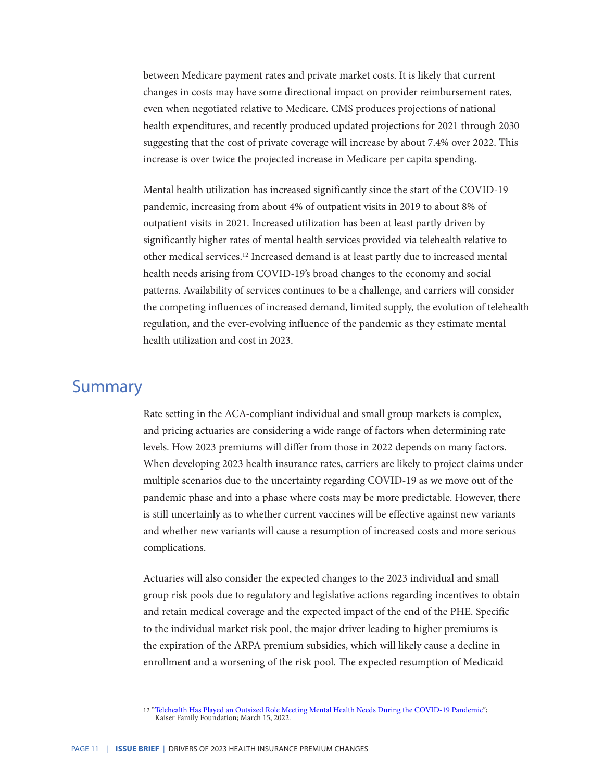between Medicare payment rates and private market costs. It is likely that current changes in costs may have some directional impact on provider reimbursement rates, even when negotiated relative to Medicare. CMS produces projections of national health expenditures, and recently produced updated projections for 2021 through 2030 suggesting that the cost of private coverage will increase by about 7.4% over 2022. This increase is over twice the projected increase in Medicare per capita spending.

Mental health utilization has increased significantly since the start of the COVID-19 pandemic, increasing from about 4% of outpatient visits in 2019 to about 8% of outpatient visits in 2021. Increased utilization has been at least partly driven by significantly higher rates of mental health services provided via telehealth relative to other medical services.<sup>12</sup> Increased demand is at least partly due to increased mental health needs arising from COVID-19's broad changes to the economy and social patterns. Availability of services continues to be a challenge, and carriers will consider the competing influences of increased demand, limited supply, the evolution of telehealth regulation, and the ever-evolving influence of the pandemic as they estimate mental health utilization and cost in 2023.

#### Summary

Rate setting in the ACA-compliant individual and small group markets is complex, and pricing actuaries are considering a wide range of factors when determining rate levels. How 2023 premiums will differ from those in 2022 depends on many factors. When developing 2023 health insurance rates, carriers are likely to project claims under multiple scenarios due to the uncertainty regarding COVID-19 as we move out of the pandemic phase and into a phase where costs may be more predictable. However, there is still uncertainly as to whether current vaccines will be effective against new variants and whether new variants will cause a resumption of increased costs and more serious complications.

Actuaries will also consider the expected changes to the 2023 individual and small group risk pools due to regulatory and legislative actions regarding incentives to obtain and retain medical coverage and the expected impact of the end of the PHE. Specific to the individual market risk pool, the major driver leading to higher premiums is the expiration of the ARPA premium subsidies, which will likely cause a decline in enrollment and a worsening of the risk pool. The expected resumption of Medicaid

<sup>12 &</sup>quot;[Telehealth Has Played an Outsized Role Meeting Mental Health Needs During the COVID-19 Pandemic"](https://www.kff.org/coronavirus-covid-19/issue-brief/telehealth-has-played-an-outsized-role-meeting-mental-health-needs-during-the-covid-19-pandemic/); Kaiser Family Foundation; March 15, 2022.